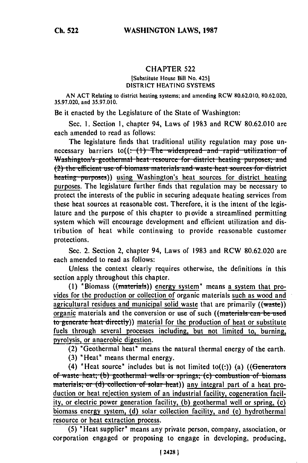## CHAPTER **522**

### [Substitute House Bill No. 4251 DISTRICT HEATING SYSTEMS

AN ACT Relating to district heating systems; and amending RCW 80.62.010, 80.62.020, 35.97.020, and 35.97.010.

Be it enacted by the Legislature of the State of Washington:

Sec. 1. Section **1,** chapter 94, Laws of 1983 and RCW 80.62.010 are each amended to read as follows:

The legislature finds that traditional utility regulation may pose unnecessary barriers to((<del>: (1) The widespread and rapid utilization of</del> Washington's geothermal heat resource for district heating purposes; and (2) the efficient use of biomass materials and waste heat sources for district heating purposes)) using Washington's heat sources for district heating purposes. The legislature further finds that regulation may be necessary to protect the interests of the public in securing adequate heating services from these heat sources at reasonable cost. Therefore, it is the intent of the legislature and the purpose of this chapter to piovide a streamlined permitting system which will encourage development and efficient utilization and distribution of heat while continuing to provide reasonable customer protections.

Sec. 2. Section 2, chapter 94, Laws of 1983 and RCW 80.62.020 are each amended to read as follows:

Unless the context clearly requires otherwise, the definitions in this section apply throughout this chapter.

**(1)** "Biomass ((mnaterials)) energy system" means a system that provides for the production or collection of organic materials such as wood and agricultural residues and municipal solid waste that are primarily ((waste)) organic materials and the conversion or use of such ((materials can be used to generate heat directly)) material for the production of heat or substitute fuels through several processes including, but not limited to, burning, pyrolysis, or anaerobic digestion.

(2) "Geothermal heat" means the natural thermal energy of the earth.

(3) "Heat" means thermal energy.

(4) "Heat source" includes but is not limited to((:)) (a) ((Generators **of waste heat; (b) geothermal wells or springs; (c) combustion of biomass** materials; or (d) collection of solar heat)) any integral part of a heat production or heat rejection system of an industrial facility, cogeneration facility, or electric power generation facility, **(b)** geothermal well or spring, (c) biomass energy system, **(d)** solar collection facility, and (e) hydrothermal resource or heat extraction process.

(5) "Heat supplier" means any private person, company, association, or corporation engaged or proposing to engage in developing, producing,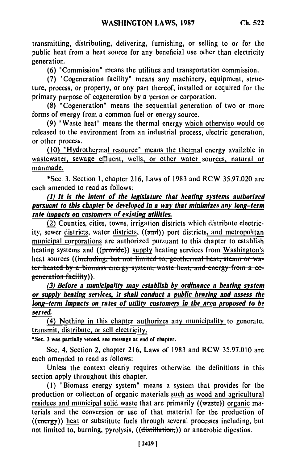transmitting, distributing, delivering, furnishing, or selling to or for **the** public heat from a heat source for any beneficial use other than electricity generation.

(6) "Commission" means the utilities and transportation commission.

**(7)** "Cogeneration facility" means any machinery, equipment, structure, process, or property, or any part thereof, installed or acquired for the primary purpose of cogeneration **by** a person or corporation.

**(8)** "Cogeneration" means the sequential generation of two or more forms of energy from a common fuel or energy source.

(9) "Waste heat" means the thermal energy which otherwise would be released to the environment from an industrial process, electric generation, or other process.

(10) "Hydrothermal resource" means the thermal energy available in wastewater, sewage effluent, wells, or other water sources, natural or manmade.

\*Sec. **3.** Section 1, chapter 216, Laws of **1983** and RCW 35.97.020 **are** each amended to read as follows:

# *(1) It is the intent of the legislature that heating systems authorized pursuant to this chapter be developed in a way that minimizes any long-term rate impacts on customers of existing utilities.*

(2) Counties, cities, towns, irrigation districts which distribute electricity, sewer districts, water districts, ((and)) port districts, and metropolitan municipal corporations are authorized pursuant to this chapter to establish heating systems and  $((\text{provide}))$  supply heating services from Washington's heat sources ((including, but not limited to, geothermal heat, steam or wa**ter heated by a biomass energy system, waste heat, and energy from a co-***(3) Before a municipality may establish by ordinance a heating system*

*or supply heating services, it shall conduct a public hearing and assess the long-term impacts on rates of utility customers in the area proposed to he served.*

(4) Nothing in this chapter authorizes any municipality to generate, transmit, distribute, or sell electricity.

**\*Sec. 3 was partially vetoed, see message at end of chapter.**

Sec. 4. Section 2, chapter 216, Laws of 1983 and RCW 35.97.010 are each amended to read as follows:

Unless the context clearly requires otherwise, the definitions in this section apply throughout this chapter.

**(1)** "Biomass energy system" means a system that provides for the production or collection of organic materials such as wood and agricultural residues and municipal solid waste that are primarily ((waste)) organic materials and the conversion or use of that material for the production of  $((energy))$  heat or substitute fuels through several processes including, but not limited to, burning, pyrolysis, ((distillation,)) or anaerobic digestion.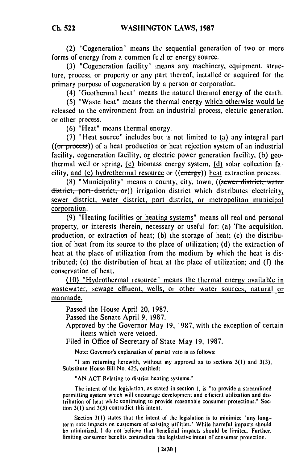(2) "Cogeneration" means thc sequential generation of two or more forms of energy from a common full or energy source.

(3) "Cogeneration facility" neans any machinery, equipment, structure, process, or property or any part thereof, ins'talled or acquired for the primary purpose of cogeneration by a person or corporation.

(4) "Geothermal heat" means the natural thermal energy of the earth.

(5) "Waste heat" means the thermal energy which otherwise would be released to the environment from an industrial process, electric generation, or other process.

(6) "Heat" means thermal energy.

(7) "Heat source" includes but is not limited to (a) any integral part  $((or process))$  of a heat production or heat rejection system of an industrial facility, cogeneration facility, or electric power generation facility, **(b)** geothermal well or spring, (c) biomass energy system, **(d)** solar collection facility, and (e) hydrothermal resource or ((energy)) heat extraction process.

**(8)** "Municipality" means a county, city, town, **((.swer** district, **water** district, port district, or)) irrigation district which distributes electricity, sewer district, water district, port district, or metropolitan municipal corporation.

(9) "Heating facilities or heating systems" means all real and personal property, or interests therein, necessary or useful for: (a) The acquisition, production, or extraction of heat; (b) the storage of heat; (c) the distribution of heat from its source to the place of utilization; (d) the extraction of heat at the place of utilization from the medium by which the heat is distributed; (e) the distribution of heat at the place of utilization; and (f) the conservation of heat.

(10) "Hydrothermal resource" means the thermal energy available in wastewater, sewage effluent, wells, or other water sources, natural or manmade.

Passed the House April 20, 1987.

Passed the Senate April 9, 1987.

Approved by the Governor May 19, 1987, with the exception of certain items which were vetoed.

Filed in Office of Secretary of State May 19, 1987.

Note: Governor's explanation of partial veto is as follows:

**"I** am returning herewith, without my approval as to sections **3(l)** and 3(3), Substitute House Bill No. 425, entitled:

**"AN** ACT Relating to district heating systems.'

The intent of the legislation, as stated in section 1, is 'to provide a streamlined permitting system which will encourage development and efficient utilization and dis. permitting system which will encourage development and emergin dimization and distribution of heat while continuing to pro

Section 3(1) states that the intent of the legislation is to minimize "any longterm rate impacts on customers of existing utilities." While harmful impacts should be minimized, I do not believe that beneficial impacts should be limited. Further, limiting consumer benefits contradicts the legislative intent of consumer protection.